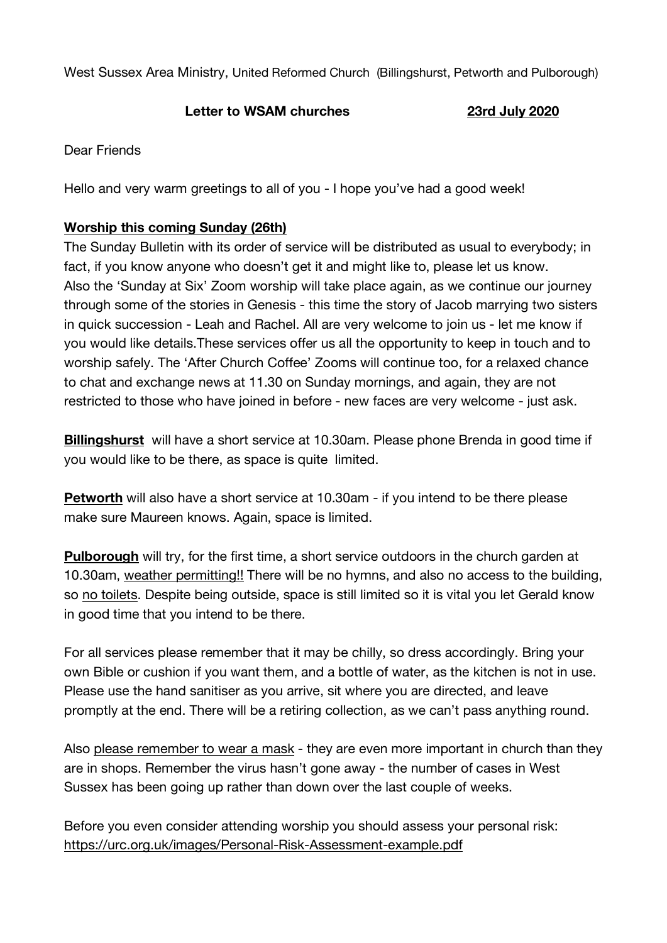West Sussex Area Ministry, United Reformed Church (Billingshurst, Petworth and Pulborough)

## **Letter to WSAM churches 23rd July 2020**

Dear Friends

Hello and very warm greetings to all of you - I hope you've had a good week!

## **Worship this coming Sunday (26th)**

The Sunday Bulletin with its order of service will be distributed as usual to everybody; in fact, if you know anyone who doesn't get it and might like to, please let us know. Also the 'Sunday at Six' Zoom worship will take place again, as we continue our journey through some of the stories in Genesis - this time the story of Jacob marrying two sisters in quick succession - Leah and Rachel. All are very welcome to join us - let me know if you would like details.These services offer us all the opportunity to keep in touch and to worship safely. The 'After Church Coffee' Zooms will continue too, for a relaxed chance to chat and exchange news at 11.30 on Sunday mornings, and again, they are not restricted to those who have joined in before - new faces are very welcome - just ask.

**Billingshurst** will have a short service at 10.30am. Please phone Brenda in good time if you would like to be there, as space is quite limited.

**Petworth** will also have a short service at 10.30am - if you intend to be there please make sure Maureen knows. Again, space is limited.

**Pulborough** will try, for the first time, a short service outdoors in the church garden at 10.30am, weather permitting!! There will be no hymns, and also no access to the building, so no toilets. Despite being outside, space is still limited so it is vital you let Gerald know in good time that you intend to be there.

For all services please remember that it may be chilly, so dress accordingly. Bring your own Bible or cushion if you want them, and a bottle of water, as the kitchen is not in use. Please use the hand sanitiser as you arrive, sit where you are directed, and leave promptly at the end. There will be a retiring collection, as we can't pass anything round.

Also please remember to wear a mask - they are even more important in church than they are in shops. Remember the virus hasn't gone away - the number of cases in West Sussex has been going up rather than down over the last couple of weeks.

Before you even consider attending worship you should assess your personal risk: https://urc.org.uk/images/Personal-Risk-Assessment-example.pdf